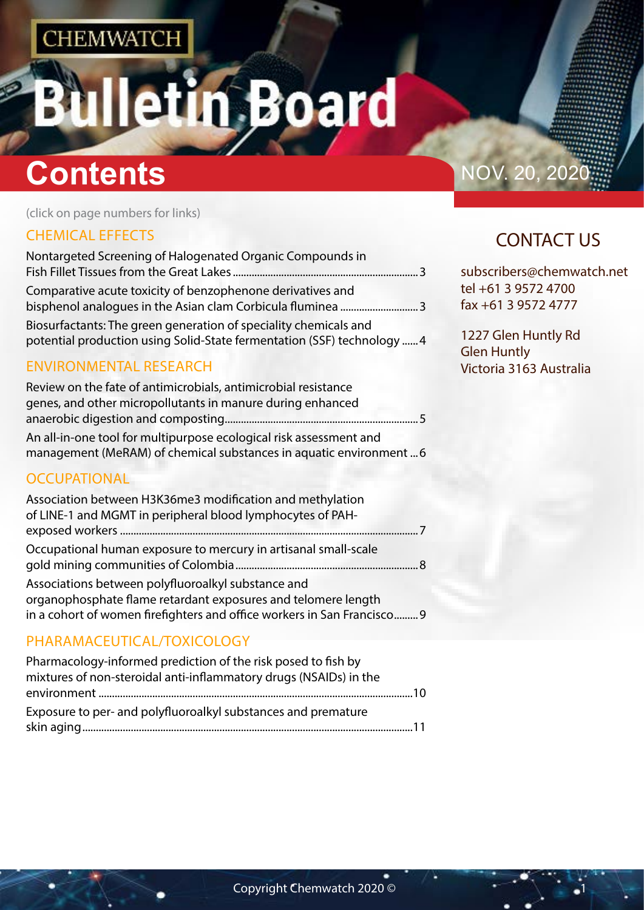# n Board

# **Contents** NOV. 20, 202

(click on page numbers for links)

#### [CHEMICAL EFFECTS](#page-1-0)

| Nontargeted Screening of Halogenated Organic Compounds in                                                                                   |  |
|---------------------------------------------------------------------------------------------------------------------------------------------|--|
| Comparative acute toxicity of benzophenone derivatives and                                                                                  |  |
| Biosurfactants: The green generation of speciality chemicals and<br>potential production using Solid-State fermentation (SSF) technology  4 |  |
| <b>ENVIRONMENTAL RESEARCH</b>                                                                                                               |  |

#### [Review on the fate of antimicrobials, antimicrobial resistance](#page-2-0)  [genes, and other micropollutants in manure during enhanced](#page-2-0)  [anaerobic digestion and composting........................................................................5](#page-2-0) [An all-in-one tool for multipurpose ecological risk assessment and](#page-2-0)  [management \(MeRAM\) of chemical substances in aquatic environment](#page-2-0) ...6

#### **[OCCUPATIONAL](#page-3-0)**

| Association between H3K36me3 modification and methylation<br>of LINE-1 and MGMT in peripheral blood lymphocytes of PAH-                                                                        |  |
|------------------------------------------------------------------------------------------------------------------------------------------------------------------------------------------------|--|
|                                                                                                                                                                                                |  |
| Occupational human exposure to mercury in artisanal small-scale                                                                                                                                |  |
| Associations between polyfluoroalkyl substance and<br>organophosphate flame retardant exposures and telomere length<br>in a cohort of women firefighters and office workers in San Francisco 9 |  |

### [PHARAMACEUTICAL/TOXICOLOGY](#page-4-0)

| Pharmacology-informed prediction of the risk posed to fish by     |  |
|-------------------------------------------------------------------|--|
| mixtures of non-steroidal anti-inflammatory drugs (NSAIDs) in the |  |
|                                                                   |  |
| Exposure to per- and polyfluoroalkyl substances and premature     |  |
|                                                                   |  |

## CONTACT US

subscribers@chemwatch.net tel +61 3 9572 4700 fax +61 3 9572 4777

1227 Glen Huntly Rd Glen Huntly Victoria 3163 Australia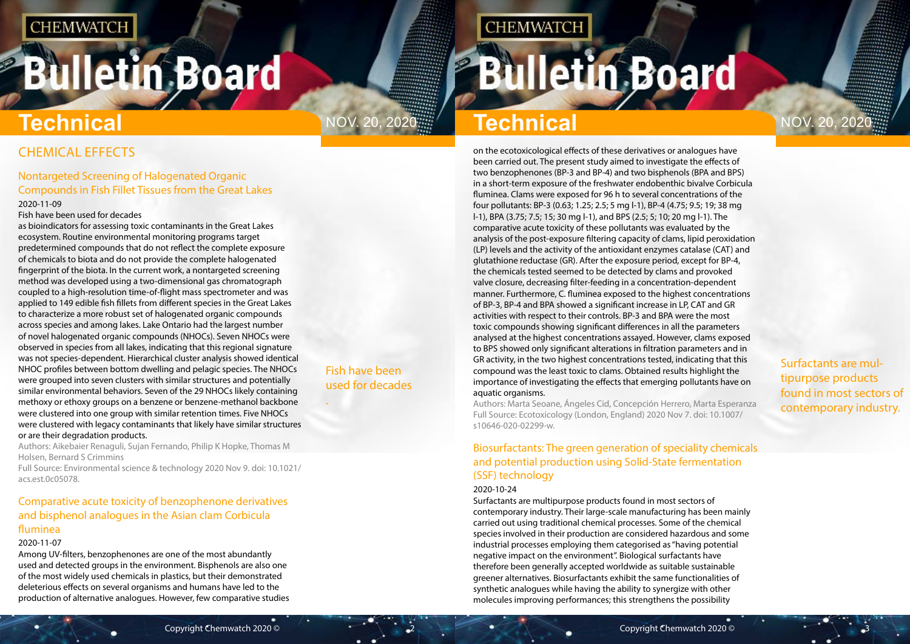# <span id="page-1-0"></span>**Bulletin Board**

Fish have been used for decades

.

# Nov. 20, 2020 Nov. 20, 2020 **Technical**

**CHEMWATCH** 

Surfactants are multipurpose products found in most sectors of contemporary industry.

CHEMICAL EFFECTS

### Nontargeted Screening of Halogenated Organic Compounds in Fish Fillet Tissues from the Great Lakes

#### 2020-11-09

Fish have been used for decades

as bioindicators for assessing toxic contaminants in the Great Lakes ecosystem. Routine environmental monitoring programs target predetermined compounds that do not reflect the complete exposure of chemicals to biota and do not provide the complete halogenated fingerprint of the biota. In the current work, a nontargeted screening method was developed using a two-dimensional gas chromatograph coupled to a high-resolution time-of-flight mass spectrometer and was applied to 149 edible fish fillets from different species in the Great Lakes to characterize a more robust set of halogenated organic compounds across species and among lakes. Lake Ontario had the largest number of novel halogenated organic compounds (NHOCs). Seven NHOCs were observed in species from all lakes, indicating that this regional signature was not species-dependent. Hierarchical cluster analysis showed identical NHOC profiles between bottom dwelling and pelagic species. The NHOCs were grouped into seven clusters with similar structures and potentially similar environmental behaviors. Seven of the 29 NHOCs likely containing methoxy or ethoxy groups on a benzene or benzene-methanol backbone were clustered into one group with similar retention times. Five NHOCs were clustered with legacy contaminants that likely have similar structures or are their degradation products.

Authors: Aikebaier Renaguli, Sujan Fernando, Philip K Hopke, Thomas M Holsen, Bernard S Crimmins

Full Source: Environmental science & technology 2020 Nov 9. doi: 10.1021/ acs.est.0c05078.

### Comparative acute toxicity of benzophenone derivatives and bisphenol analogues in the Asian clam Corbicula fluminea

#### 2020-11-07

Among UV-filters, benzophenones are one of the most abundantly used and detected groups in the environment. Bisphenols are also one of the most widely used chemicals in plastics, but their demonstrated deleterious effects on several organisms and humans have led to the production of alternative analogues. However, few comparative studies

# **Technical**

on the ecotoxicological effects of these derivatives or analogues have been carried out. The present study aimed to investigate the effects of two benzophenones (BP-3 and BP-4) and two bisphenols (BPA and BPS) in a short-term exposure of the freshwater endobenthic bivalve Corbicula fluminea. Clams were exposed for 96 h to several concentrations of the four pollutants: BP-3 (0.63; 1.25; 2.5; 5 mg l-1), BP-4 (4.75; 9.5; 19; 38 mg l-1), BPA (3.75; 7.5; 15; 30 mg l-1), and BPS (2.5; 5; 10; 20 mg l-1). The comparative acute toxicity of these pollutants was evaluated by the analysis of the post-exposure filtering capacity of clams, lipid peroxidation (LP) levels and the activity of the antioxidant enzymes catalase (CAT) and glutathione reductase (GR). After the exposure period, except for BP-4, the chemicals tested seemed to be detected by clams and provoked valve closure, decreasing filter-feeding in a concentration-dependent manner. Furthermore, C. fluminea exposed to the highest concentrations of BP-3, BP-4 and BPA showed a significant increase in LP, CAT and GR activities with respect to their controls. BP-3 and BPA were the most toxic compounds showing significant differences in all the parameters analysed at the highest concentrations assayed. However, clams exposed to BPS showed only significant alterations in filtration parameters and in GR activity, in the two highest concentrations tested, indicating that this compound was the least toxic to clams. Obtained results highlight the importance of investigating the effects that emerging pollutants have on aquatic organisms.

Authors: Marta Seoane, Ángeles Cid, Concepción Herrero, Marta Esperanza Full Source: Ecotoxicology (London, England) 2020 Nov 7. doi: 10.1007/ s10646-020-02299-w.

### Biosurfactants: The green generation of speciality chemicals and potential production using Solid-State fermentation (SSF) technology

#### 2020-10-24

Surfactants are multipurpose products found in most sectors of contemporary industry. Their large-scale manufacturing has been mainly carried out using traditional chemical processes. Some of the chemical species involved in their production are considered hazardous and some industrial processes employing them categorised as "having potential negative impact on the environment". Biological surfactants have therefore been generally accepted worldwide as suitable sustainable greener alternatives. Biosurfactants exhibit the same functionalities of synthetic analogues while having the ability to synergize with other molecules improving performances; this strengthens the possibility

# **Bulletin Board**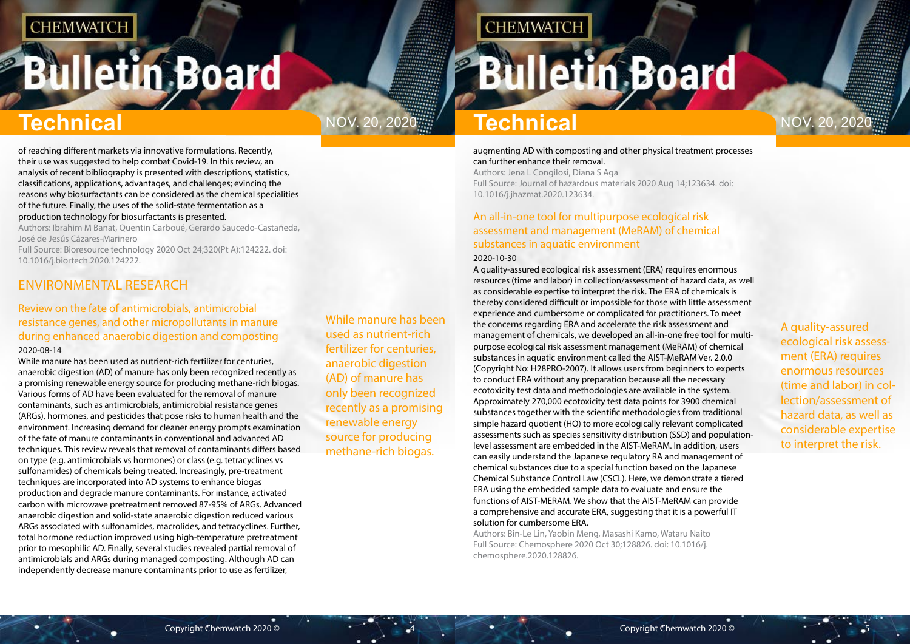# <span id="page-2-0"></span>**Bulletin Board**

# Nov. 20, 2020 Nov. 20, 2020

While manure has been used as nutrient-rich fertilizer for centuries, anaerobic digestion (AD) of manure has only been recognized recently as a promising renewable energy source for producing methane-rich biogas.

# **CHEMWATCH**

# **Bulletin Board**

A quality-assured ecological risk assessment (ERA) requires enormous resources (time and labor) in collection/assessment of hazard data, as well as considerable expertise to interpret the risk.

# **Technical Technical**

of reaching different markets via innovative formulations. Recently, their use was suggested to help combat Covid-19. In this review, an analysis of recent bibliography is presented with descriptions, statistics, classifications, applications, advantages, and challenges; evincing the reasons why biosurfactants can be considered as the chemical specialities of the future. Finally, the uses of the solid-state fermentation as a production technology for biosurfactants is presented.

Authors: Ibrahim M Banat, Quentin Carboué, Gerardo Saucedo-Castañeda, José de Jesús Cázares-Marinero

Full Source: Bioresource technology 2020 Oct 24;320(Pt A):124222. doi: 10.1016/j.biortech.2020.124222.

### ENVIRONMENTAL RESEARCH

#### Review on the fate of antimicrobials, antimicrobial resistance genes, and other micropollutants in manure during enhanced anaerobic digestion and composting 2020-08-14

While manure has been used as nutrient-rich fertilizer for centuries, anaerobic digestion (AD) of manure has only been recognized recently as a promising renewable energy source for producing methane-rich biogas. Various forms of AD have been evaluated for the removal of manure contaminants, such as antimicrobials, antimicrobial resistance genes (ARGs), hormones, and pesticides that pose risks to human health and the environment. Increasing demand for cleaner energy prompts examination of the fate of manure contaminants in conventional and advanced AD techniques. This review reveals that removal of contaminants differs based on type (e.g. antimicrobials vs hormones) or class (e.g. tetracyclines vs sulfonamides) of chemicals being treated. Increasingly, pre-treatment techniques are incorporated into AD systems to enhance biogas production and degrade manure contaminants. For instance, activated carbon with microwave pretreatment removed 87-95% of ARGs. Advanced anaerobic digestion and solid-state anaerobic digestion reduced various ARGs associated with sulfonamides, macrolides, and tetracyclines. Further, total hormone reduction improved using high-temperature pretreatment prior to mesophilic AD. Finally, several studies revealed partial removal of antimicrobials and ARGs during managed composting. Although AD can independently decrease manure contaminants prior to use as fertilizer,

#### augmenting AD with composting and other physical treatment processes can further enhance their removal.

Authors: Jena L Congilosi, Diana S Aga Full Source: Journal of hazardous materials 2020 Aug 14;123634. doi: 10.1016/j.jhazmat.2020.123634.

### An all-in-one tool for multipurpose ecological risk assessment and management (MeRAM) of chemical substances in aquatic environment

#### 2020-10-30

A quality-assured ecological risk assessment (ERA) requires enormous resources (time and labor) in collection/assessment of hazard data, as well as considerable expertise to interpret the risk. The ERA of chemicals is thereby considered difficult or impossible for those with little assessment experience and cumbersome or complicated for practitioners. To meet the concerns regarding ERA and accelerate the risk assessment and management of chemicals, we developed an all-in-one free tool for multipurpose ecological risk assessment management (MeRAM) of chemical substances in aquatic environment called the AIST-MeRAM Ver. 2.0.0 (Copyright No: H28PRO-2007). It allows users from beginners to experts to conduct ERA without any preparation because all the necessary ecotoxicity test data and methodologies are available in the system. Approximately 270,000 ecotoxicity test data points for 3900 chemical substances together with the scientific methodologies from traditional simple hazard quotient (HQ) to more ecologically relevant complicated assessments such as species sensitivity distribution (SSD) and populationlevel assessment are embedded in the AIST-MeRAM. In addition, users can easily understand the Japanese regulatory RA and management of chemical substances due to a special function based on the Japanese Chemical Substance Control Law (CSCL). Here, we demonstrate a tiered ERA using the embedded sample data to evaluate and ensure the functions of AIST-MERAM. We show that the AIST-MeRAM can provide a comprehensive and accurate ERA, suggesting that it is a powerful IT solution for cumbersome ERA.

Authors: Bin-Le Lin, Yaobin Meng, Masashi Kamo, Wataru Naito Full Source: Chemosphere 2020 Oct 30;128826. doi: 10.1016/j. chemosphere.2020.128826.

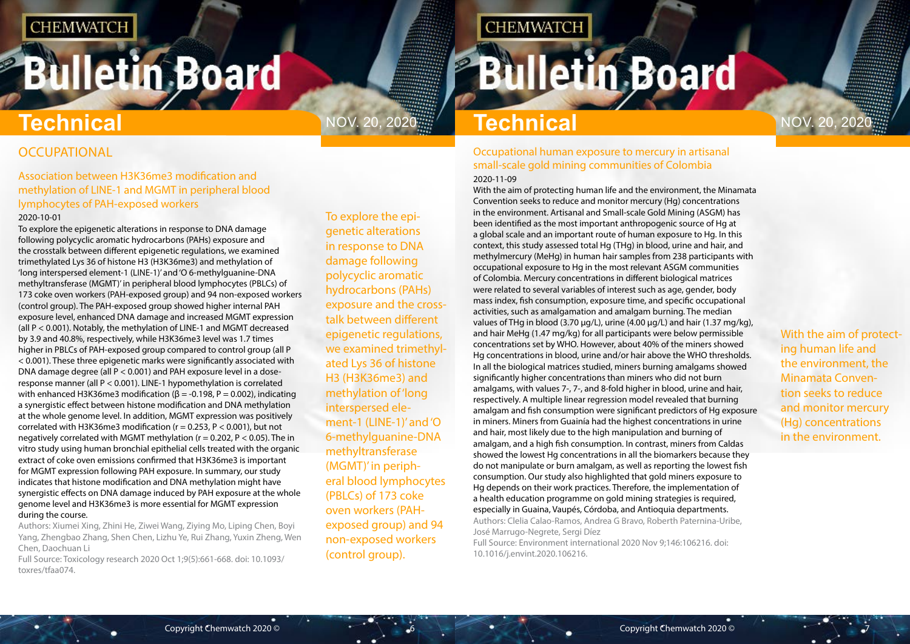# <span id="page-3-0"></span>**Bulletin Board**

# **Technical** Nov. 20, 2020 **Technical** Nov. 20, 2020

**OCCUPATIONAL** 

To explore the epigenetic alterations in response to DNA damage following polycyclic aromatic hydrocarbons (PAHs) exposure and the crosstalk between different epigenetic regulations, we examined trimethylated Lys 36 of histone H3 (H3K36me3) and methylation of 'long interspersed element-1 (LINE-1)' and 'O 6-methylguanine-DNA methyltransferase (MGMT)' in peripheral blood lymphocytes (PBLCs) of 173 coke oven workers (PAHexposed group) and 94 non-exposed workers (control group).

# **CHEMWATCH**

# **Bulletin Board**

With the aim of protecting human life and the environment, the Minamata Convention seeks to reduce and monitor mercury (Hg) concentrations in the environment.

#### Association between H3K36me3 modification and methylation of LINE-1 and MGMT in peripheral blood lymphocytes of PAH-exposed workers 2020-10-01

To explore the epigenetic alterations in response to DNA damage following polycyclic aromatic hydrocarbons (PAHs) exposure and the crosstalk between different epigenetic regulations, we examined trimethylated Lys 36 of histone H3 (H3K36me3) and methylation of 'long interspersed element-1 (LINE-1)' and 'O 6-methylguanine-DNA methyltransferase (MGMT)' in peripheral blood lymphocytes (PBLCs) of 173 coke oven workers (PAH-exposed group) and 94 non-exposed workers (control group). The PAH-exposed group showed higher internal PAH exposure level, enhanced DNA damage and increased MGMT expression (all P < 0.001). Notably, the methylation of LINE-1 and MGMT decreased by 3.9 and 40.8%, respectively, while H3K36me3 level was 1.7 times higher in PBLCs of PAH-exposed group compared to control group (all P < 0.001). These three epigenetic marks were significantly associated with DNA damage degree (all P < 0.001) and PAH exposure level in a doseresponse manner (all P < 0.001). LINE-1 hypomethylation is correlated with enhanced H3K36me3 modification ( $β = -0.198$ ,  $P = 0.002$ ), indicating a synergistic effect between histone modification and DNA methylation at the whole genome level. In addition, MGMT expression was positively correlated with H3K36me3 modification ( $r = 0.253$ ,  $P < 0.001$ ), but not negatively correlated with MGMT methylation ( $r = 0.202$ ,  $P < 0.05$ ). The in vitro study using human bronchial epithelial cells treated with the organic extract of coke oven emissions confirmed that H3K36me3 is important for MGMT expression following PAH exposure. In summary, our study indicates that histone modification and DNA methylation might have synergistic effects on DNA damage induced by PAH exposure at the whole genome level and H3K36me3 is more essential for MGMT expression during the course.

Authors: Xiumei Xing, Zhini He, Ziwei Wang, Ziying Mo, Liping Chen, Boyi Yang, Zhengbao Zhang, Shen Chen, Lizhu Ye, Rui Zhang, Yuxin Zheng, Wen Chen, Daochuan Li

Full Source: Toxicology research 2020 Oct 1;9(5):661-668. doi: 10.1093/ toxres/tfaa074.

#### Occupational human exposure to mercury in artisanal small-scale gold mining communities of Colombia 2020-11-09

With the aim of protecting human life and the environment, the Minamata Convention seeks to reduce and monitor mercury (Hg) concentrations in the environment. Artisanal and Small-scale Gold Mining (ASGM) has been identified as the most important anthropogenic source of Hg at a global scale and an important route of human exposure to Hg. In this context, this study assessed total Hg (THg) in blood, urine and hair, and methylmercury (MeHg) in human hair samples from 238 participants with occupational exposure to Hg in the most relevant ASGM communities of Colombia. Mercury concentrations in different biological matrices were related to several variables of interest such as age, gender, body mass index, fish consumption, exposure time, and specific occupational activities, such as amalgamation and amalgam burning. The median values of THg in blood (3.70 µg/L), urine (4.00 µg/L) and hair (1.37 mg/kg), and hair MeHg (1.47 mg/kg) for all participants were below permissible concentrations set by WHO. However, about 40% of the miners showed Hg concentrations in blood, urine and/or hair above the WHO thresholds. In all the biological matrices studied, miners burning amalgams showed significantly higher concentrations than miners who did not burn amalgams, with values 7-, 7-, and 8-fold higher in blood, urine and hair, respectively. A multiple linear regression model revealed that burning amalgam and fish consumption were significant predictors of Hg exposure in miners. Miners from Guainía had the highest concentrations in urine and hair, most likely due to the high manipulation and burning of amalgam, and a high fish consumption. In contrast, miners from Caldas showed the lowest Hg concentrations in all the biomarkers because they do not manipulate or burn amalgam, as well as reporting the lowest fish consumption. Our study also highlighted that gold miners exposure to Hg depends on their work practices. Therefore, the implementation of a health education programme on gold mining strategies is required, especially in Guaina, Vaupés, Córdoba, and Antioquia departments. Authors: Clelia Calao-Ramos, Andrea G Bravo, Roberth Paternina-Uribe, José Marrugo-Negrete, Sergi Díez Full Source: Environment international 2020 Nov 9;146:106216. doi:

10.1016/j.envint.2020.106216.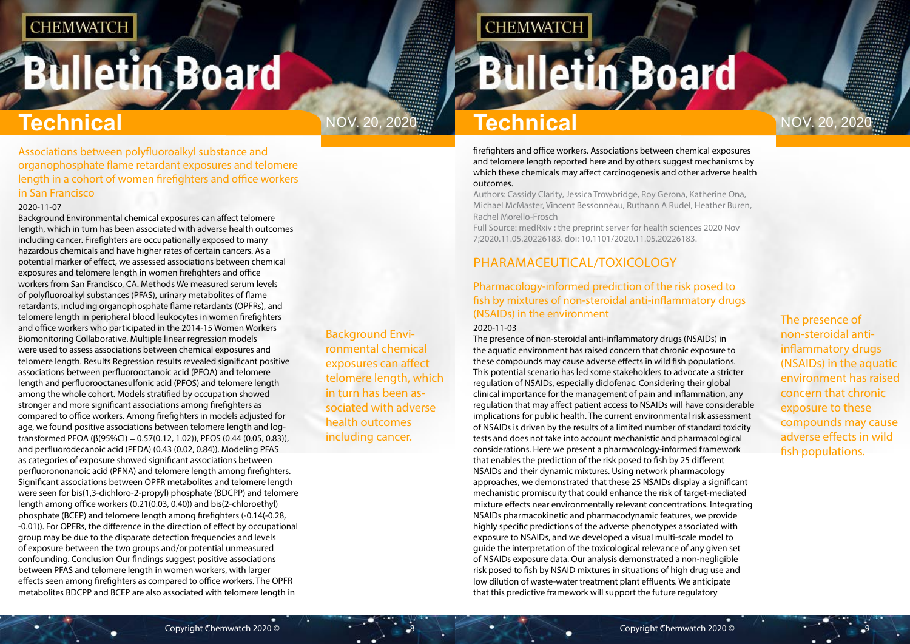# <span id="page-4-0"></span>**Bulletin Board**

Background Environmental chemical exposures can affect telomere length, which in turn has been associated with adverse health outcomes including cancer.

## **CHEMWATCH**

# **Bulletin Board**

# NOV. 20, 2020  $\frac{m}{2}$  **Technical Nov.** 20, 2020

The presence of non-steroidal antiinflammatory drugs (NSAIDs) in the aquatic environment has raised concern that chronic exposure to these compounds may cause adverse effects in wild fish populations.

# **Technical Technical**

Associations between polyfluoroalkyl substance and organophosphate flame retardant exposures and telomere length in a cohort of women firefighters and office workers in San Francisco

#### 2020-11-07

Background Environmental chemical exposures can affect telomere length, which in turn has been associated with adverse health outcomes including cancer. Firefighters are occupationally exposed to many hazardous chemicals and have higher rates of certain cancers. As a potential marker of effect, we assessed associations between chemical exposures and telomere length in women firefighters and office workers from San Francisco, CA. Methods We measured serum levels of polyfluoroalkyl substances (PFAS), urinary metabolites of flame retardants, including organophosphate flame retardants (OPFRs), and telomere length in peripheral blood leukocytes in women firefighters and office workers who participated in the 2014-15 Women Workers Biomonitoring Collaborative. Multiple linear regression models were used to assess associations between chemical exposures and telomere length. Results Regression results revealed significant positive associations between perfluorooctanoic acid (PFOA) and telomere length and perfluorooctanesulfonic acid (PFOS) and telomere length among the whole cohort. Models stratified by occupation showed stronger and more significant associations among firefighters as compared to office workers. Among firefighters in models adjusted for age, we found positive associations between telomere length and logtransformed PFOA (β(95%CI) = 0.57(0.12, 1.02)), PFOS (0.44 (0.05, 0.83)), and perfluorodecanoic acid (PFDA) (0.43 (0.02, 0.84)). Modeling PFAS as categories of exposure showed significant associations between perfluorononanoic acid (PFNA) and telomere length among firefighters. Significant associations between OPFR metabolites and telomere length were seen for bis(1,3-dichloro-2-propyl) phosphate (BDCPP) and telomere length among office workers (0.21(0.03, 0.40)) and bis(2-chloroethyl) phosphate (BCEP) and telomere length among firefighters (-0.14(-0.28, -0.01)). For OPFRs, the difference in the direction of effect by occupational group may be due to the disparate detection frequencies and levels of exposure between the two groups and/or potential unmeasured confounding. Conclusion Our findings suggest positive associations between PFAS and telomere length in women workers, with larger effects seen among firefighters as compared to office workers. The OPFR metabolites BDCPP and BCEP are also associated with telomere length in

firefighters and office workers. Associations between chemical exposures and telomere length reported here and by others suggest mechanisms by which these chemicals may affect carcinogenesis and other adverse health outcomes.

Authors: Cassidy Clarity, Jessica Trowbridge, Roy Gerona, Katherine Ona, Michael McMaster, Vincent Bessonneau, Ruthann A Rudel, Heather Buren, Rachel Morello-Frosch

Full Source: medRxiv : the preprint server for health sciences 2020 Nov 7;2020.11.05.20226183. doi: 10.1101/2020.11.05.20226183.

### PHARAMACEUTICAL/TOXICOLOGY

### Pharmacology-informed prediction of the risk posed to fish by mixtures of non-steroidal anti-inflammatory drugs (NSAIDs) in the environment

#### 2020-11-03

The presence of non-steroidal anti-inflammatory drugs (NSAIDs) in the aquatic environment has raised concern that chronic exposure to these compounds may cause adverse effects in wild fish populations. This potential scenario has led some stakeholders to advocate a stricter regulation of NSAIDs, especially diclofenac. Considering their global clinical importance for the management of pain and inflammation, any regulation that may affect patient access to NSAIDs will have considerable implications for public health. The current environmental risk assessment of NSAIDs is driven by the results of a limited number of standard toxicity tests and does not take into account mechanistic and pharmacological considerations. Here we present a pharmacology-informed framework that enables the prediction of the risk posed to fish by 25 different NSAIDs and their dynamic mixtures. Using network pharmacology approaches, we demonstrated that these 25 NSAIDs display a significant mechanistic promiscuity that could enhance the risk of target-mediated mixture effects near environmentally relevant concentrations. Integrating NSAIDs pharmacokinetic and pharmacodynamic features, we provide highly specific predictions of the adverse phenotypes associated with exposure to NSAIDs, and we developed a visual multi-scale model to guide the interpretation of the toxicological relevance of any given set of NSAIDs exposure data. Our analysis demonstrated a non-negligible risk posed to fish by NSAID mixtures in situations of high drug use and low dilution of waste-water treatment plant effluents. We anticipate that this predictive framework will support the future regulatory